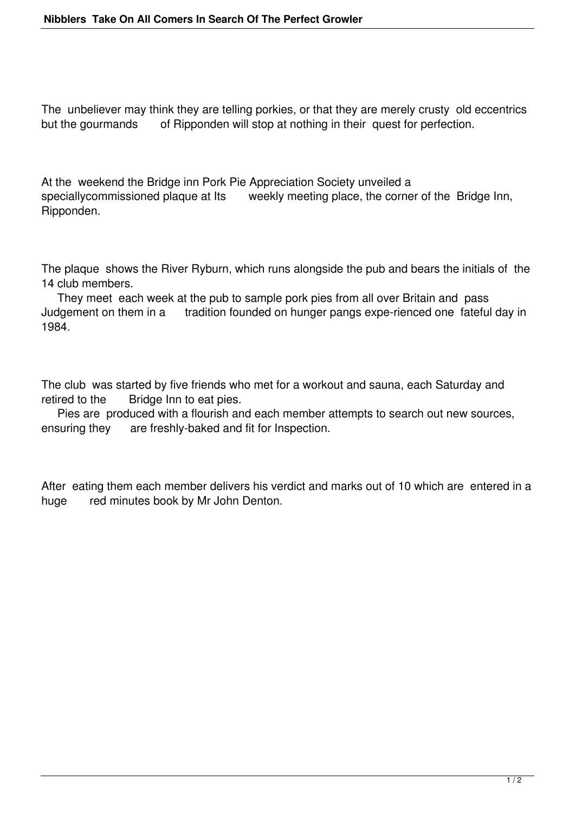The unbeliever may think they are telling porkies, or that they are merely crusty old eccentrics but the gourmands of Ripponden will stop at nothing in their quest for perfection.

At the weekend the Bridge inn Pork Pie Appreciation Society unveiled a speciallycommissioned plaque at Its weekly meeting place, the corner of the Bridge Inn, Ripponden.

The plaque shows the River Ryburn, which runs alongside the pub and bears the initials of the 14 club members.

 They meet each week at the pub to sample pork pies from all over Britain and pass Judgement on them in a tradition founded on hunger pangs expe-rienced one fateful day in 1984.

The club was started by five friends who met for a workout and sauna, each Saturday and retired to the Bridge Inn to eat pies.

 Pies are produced with a flourish and each member attempts to search out new sources, ensuring they are freshly-baked and fit for Inspection.

After eating them each member delivers his verdict and marks out of 10 which are entered in a huge red minutes book by Mr John Denton.